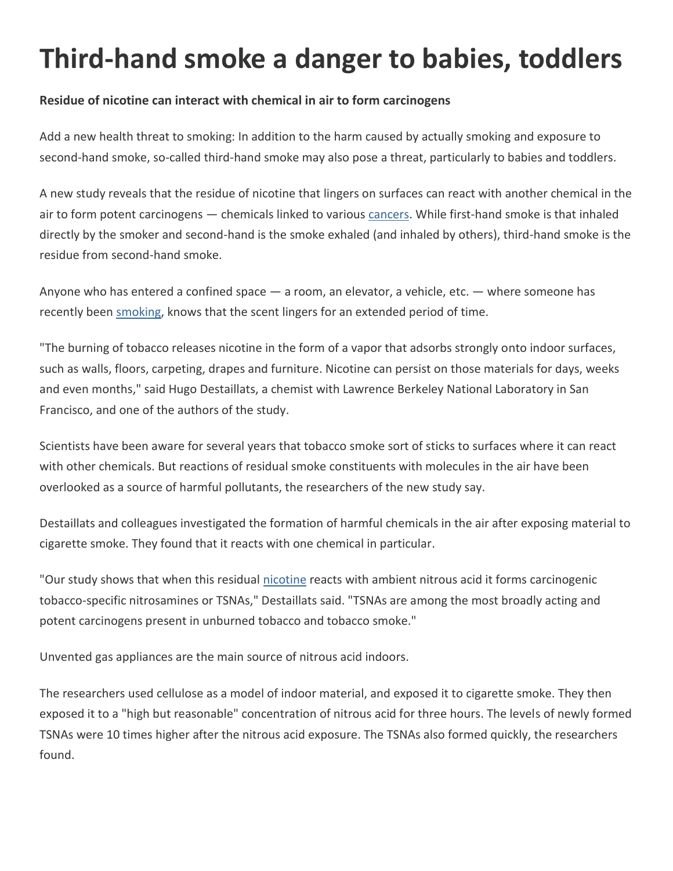## **Third-hand smoke a danger to babies, toddlers**

## **Residue of nicotine can interact with chemical in air to form carcinogens**

Add a new health threat to smoking: In addition to the harm caused by actually smoking and exposure to second-hand smoke, so-called third-hand smoke may also pose a threat, particularly to babies and toddlers.

A new study reveals that the residue of nicotine that lingers on surfaces can react with another chemical in the air to form potent carcinogens — chemicals linked to various [cancers.](http://www.livescience.com/health/070726_cancer_myths.html) While first-hand smoke is that inhaled directly by the smoker and second-hand is the smoke exhaled (and inhaled by others), third-hand smoke is the residue from second-hand smoke.

Anyone who has entered a confined space — a room, an elevator, a vehicle, etc. — where someone has recently been [smoking,](http://www.livescience.com/topic/smoking) knows that the scent lingers for an extended period of time.

"The burning of tobacco releases nicotine in the form of a vapor that adsorbs strongly onto indoor surfaces, such as walls, floors, carpeting, drapes and furniture. Nicotine can persist on those materials for days, weeks and even months," said Hugo Destaillats, a chemist with Lawrence Berkeley National Laboratory in San Francisco, and one of the authors of the study.

Scientists have been aware for several years that tobacco smoke sort of sticks to surfaces where it can react with other chemicals. But reactions of residual smoke constituents with molecules in the air have been overlooked as a source of harmful pollutants, the researchers of the new study say.

Destaillats and colleagues investigated the formation of harmful chemicals in the air after exposing material to cigarette smoke. They found that it reacts with one chemical in particular.

"Our study shows that when this residual [nicotine](http://www.livescience.com/health/090423-nicotine-anger.html) reacts with ambient nitrous acid it forms carcinogenic tobacco-specific nitrosamines or TSNAs," Destaillats said. "TSNAs are among the most broadly acting and potent carcinogens present in unburned tobacco and tobacco smoke."

Unvented gas appliances are the main source of nitrous acid indoors.

The researchers used cellulose as a model of indoor material, and exposed it to cigarette smoke. They then exposed it to a "high but reasonable" concentration of nitrous acid for three hours. The levels of newly formed TSNAs were 10 times higher after the nitrous acid exposure. The TSNAs also formed quickly, the researchers found.